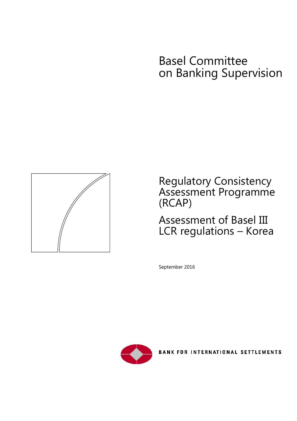# Basel Committee on Banking Supervision



Regulatory Consistency Assessment Programme (RCAP)

# Assessment of Basel III LCR regulations – Korea

September 2016



BANK FOR INTERNATIONAL SETTLEMENTS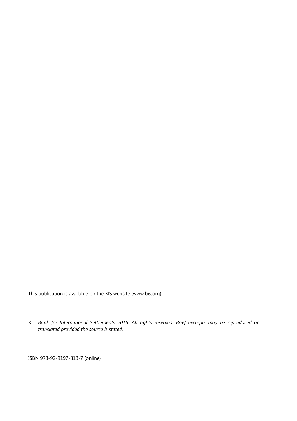This publication is available on the BIS website [\(www.bis.org\)](http://www.bis.org/).

*© Bank for International Settlements 2016. All rights reserved. Brief excerpts may be reproduced or translated provided the source is stated.*

ISBN 978-92-9197-813-7 (online)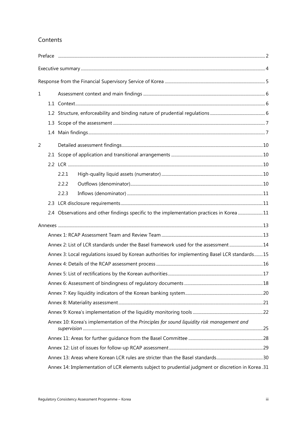### Contents

| $\mathbf 1$ |  |                                                                                                    |  |  |
|-------------|--|----------------------------------------------------------------------------------------------------|--|--|
|             |  |                                                                                                    |  |  |
|             |  |                                                                                                    |  |  |
|             |  |                                                                                                    |  |  |
|             |  |                                                                                                    |  |  |
| 2           |  |                                                                                                    |  |  |
|             |  |                                                                                                    |  |  |
|             |  |                                                                                                    |  |  |
|             |  | 2.2.1                                                                                              |  |  |
|             |  | 2.2.2                                                                                              |  |  |
|             |  | 2.2.3                                                                                              |  |  |
|             |  |                                                                                                    |  |  |
|             |  | 2.4 Observations and other findings specific to the implementation practices in Korea 11           |  |  |
|             |  |                                                                                                    |  |  |
|             |  |                                                                                                    |  |  |
|             |  | Annex 2: List of LCR standards under the Basel framework used for the assessment14                 |  |  |
|             |  | Annex 3: Local regulations issued by Korean authorities for implementing Basel LCR standards15     |  |  |
|             |  |                                                                                                    |  |  |
|             |  |                                                                                                    |  |  |
|             |  |                                                                                                    |  |  |
|             |  |                                                                                                    |  |  |
|             |  |                                                                                                    |  |  |
|             |  |                                                                                                    |  |  |
|             |  | Annex 10: Korea's implementation of the Principles for sound liquidity risk management and         |  |  |
|             |  |                                                                                                    |  |  |
|             |  |                                                                                                    |  |  |
|             |  |                                                                                                    |  |  |
|             |  | Annex 14: Implementation of LCR elements subject to prudential judgment or discretion in Korea .31 |  |  |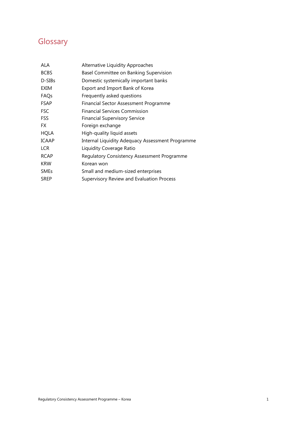# **Glossary**

| ALA          | Alternative Liquidity Approaches                 |
|--------------|--------------------------------------------------|
| <b>BCBS</b>  | Basel Committee on Banking Supervision           |
| D-SIBs       | Domestic systemically important banks            |
| EXIM         | Export and Import Bank of Korea                  |
| FAQs         | Frequently asked questions                       |
| <b>FSAP</b>  | Financial Sector Assessment Programme            |
| <b>FSC</b>   | <b>Financial Services Commission</b>             |
| FSS          | <b>Financial Supervisory Service</b>             |
| FX.          | Foreign exchange                                 |
| <b>HQLA</b>  | High-quality liquid assets                       |
| <b>ICAAP</b> | Internal Liquidity Adequacy Assessment Programme |
| <b>LCR</b>   | Liquidity Coverage Ratio                         |
| <b>RCAP</b>  | Regulatory Consistency Assessment Programme      |
| <b>KRW</b>   | Korean won                                       |
| <b>SMEs</b>  | Small and medium-sized enterprises               |
| <b>SREP</b>  | Supervisory Review and Evaluation Process        |
|              |                                                  |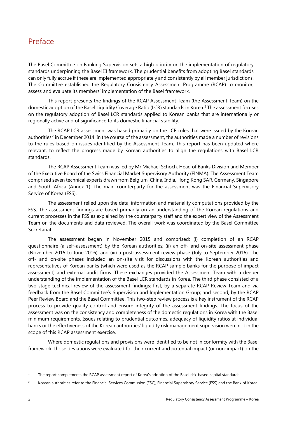# <span id="page-5-0"></span>Preface

The Basel Committee on Banking Supervision sets a high priority on the implementation of regulatory standards underpinning the Basel III framework. The prudential benefits from adopting Basel standards can only fully accrue if these are implemented appropriately and consistently by all member jurisdictions. The Committee established the Regulatory Consistency Assessment Programme (RCAP) to monitor, assess and evaluate its members' implementation of the Basel framework.

This report presents the findings of the RCAP Assessment Team (the Assessment Team) on the domestic adoption of the Basel Liquidity Coverage Ratio (LCR) standards in Korea. [1](#page-5-1) The assessment focuses on the regulatory adoption of Basel LCR standards applied to Korean banks that are internationally or regionally active and of significance to its domestic financial stability.

The RCAP LCR assessment was based primarily on the LCR rules that were issued by the Korean authorities<sup>[2](#page-5-2)</sup> in December 2014. In the course of the assessment, the authorities made a number of revisions to the rules based on issues identified by the Assessment Team. This report has been updated where relevant, to reflect the progress made by Korean authorities to align the regulations with Basel LCR standards.

The RCAP Assessment Team was led by Mr Michael Schoch, Head of Banks Division and Member of the Executive Board of the Swiss Financial Market Supervisory Authority (FINMA). The Assessment Team comprised seven technical experts drawn from Belgium, China, India, Hong Kong SAR, Germany, Singapore and South Africa (Annex 1). The main counterparty for the assessment was the Financial Supervisory Service of Korea (FSS).

The assessment relied upon the data, information and materiality computations provided by the FSS. The assessment findings are based primarily on an understanding of the Korean regulations and current processes in the FSS as explained by the counterparty staff and the expert view of the Assessment Team on the documents and data reviewed. The overall work was coordinated by the Basel Committee Secretariat.

The assessment began in November 2015 and comprised: (i) completion of an RCAP questionnaire (a self-assessment) by the Korean authorities; (ii) an off- and on-site assessment phase (November 2015 to June 2016); and (iii) a post-assessment review phase (July to September 2016). The off- and on-site phases included an on-site visit for discussions with the Korean authorities and representatives of Korean banks (which were used as the RCAP sample banks for the purpose of impact assessment) and external audit firms. These exchanges provided the Assessment Team with a deeper understanding of the implementation of the Basel LCR standards in Korea. The third phase consisted of a two-stage technical review of the assessment findings: first, by a separate RCAP Review Team and via feedback from the Basel Committee's Supervision and Implementation Group; and second, by the RCAP Peer Review Board and the Basel Committee. This two-step review process is a key instrument of the RCAP process to provide quality control and ensure integrity of the assessment findings. The focus of the assessment was on the consistency and completeness of the domestic regulations in Korea with the Basel minimum requirements. Issues relating to prudential outcomes, adequacy of liquidity ratios at individual banks or the effectiveness of the Korean authorities' liquidity risk management supervision were not in the scope of this RCAP assessment exercise.

Where domestic regulations and provisions were identified to be not in conformity with the Basel framework, those deviations were evaluated for their current and potential impact (or non-impact) on the

<span id="page-5-1"></span><sup>&</sup>lt;sup>1</sup> The report complements the RCAP assessment report of Korea's adoption of the Basel risk-based capital standards.

<span id="page-5-2"></span><sup>&</sup>lt;sup>2</sup> Korean authorities refer to the Financial Services Commission (FSC), Financial Supervisory Service (FSS) and the Bank of Korea.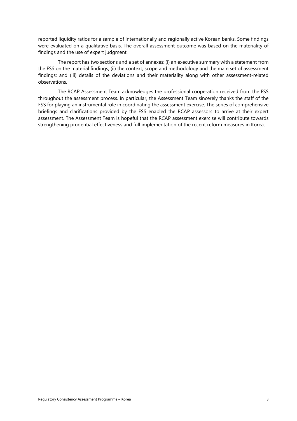reported liquidity ratios for a sample of internationally and regionally active Korean banks. Some findings were evaluated on a qualitative basis. The overall assessment outcome was based on the materiality of findings and the use of expert judgment.

The report has two sections and a set of annexes: (i) an executive summary with a statement from the FSS on the material findings; (ii) the context, scope and methodology and the main set of assessment findings; and (iii) details of the deviations and their materiality along with other assessment-related observations.

The RCAP Assessment Team acknowledges the professional cooperation received from the FSS throughout the assessment process. In particular, the Assessment Team sincerely thanks the staff of the FSS for playing an instrumental role in coordinating the assessment exercise. The series of comprehensive briefings and clarifications provided by the FSS enabled the RCAP assessors to arrive at their expert assessment. The Assessment Team is hopeful that the RCAP assessment exercise will contribute towards strengthening prudential effectiveness and full implementation of the recent reform measures in Korea.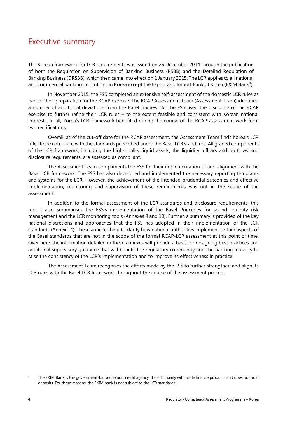## <span id="page-7-0"></span>Executive summary

The Korean framework for LCR requirements was issued on 26 December 2014 through the publication of both the Regulation on Supervision of Banking Business (RSBB) and the Detailed Regulation of Banking Business (DRSBB), which then came into effect on 1 January 2015. The LCR applies to all national and commercial banking institutions in Korea except the Export and Import Bank of Korea (EXIM Bank<sup>3</sup>).

In November 2015, the FSS completed an extensive self-assessment of the domestic LCR rules as part of their preparation for the RCAP exercise. The RCAP Assessment Team (Assessment Team) identified a number of additional deviations from the Basel framework. The FSS used the discipline of the RCAP exercise to further refine their LCR rules – to the extent feasible and consistent with Korean national interests. In all, Korea's LCR framework benefited during the course of the RCAP assessment work from two rectifications.

Overall, as of the cut-off date for the RCAP assessment, the Assessment Team finds Korea's LCR rules to be compliant with the standards prescribed under the Basel LCR standards. All graded components of the LCR framework, including the high-quality liquid assets, the liquidity inflows and outflows and disclosure requirements, are assessed as compliant.

The Assessment Team compliments the FSS for their implementation of and alignment with the Basel LCR framework. The FSS has also developed and implemented the necessary reporting templates and systems for the LCR. However, the achievement of the intended prudential outcomes and effective implementation, monitoring and supervision of these requirements was not in the scope of the assessment.

In addition to the formal assessment of the LCR standards and disclosure requirements, this report also summarises the FSS's implementation of the Basel Principles for sound liquidity risk management and the LCR monitoring tools (Annexes 9 and 10). Further, a summary is provided of the key national discretions and approaches that the FSS has adopted in their implementation of the LCR standards (Annex 14). These annexes help to clarify how national authorities implement certain aspects of the Basel standards that are not in the scope of the formal RCAP-LCR assessment at this point of time. Over time, the information detailed in these annexes will provide a basis for designing best practices and additional supervisory guidance that will benefit the regulatory community and the banking industry to raise the consistency of the LCR's implementation and to improve its effectiveness in practice.

The Assessment Team recognises the efforts made by the FSS to further strengthen and align its LCR rules with the Basel LCR framework throughout the course of the assessment process.

<span id="page-7-1"></span><sup>&</sup>lt;sup>3</sup> The EXIM Bank is the government-backed export credit agency. It deals mainly with trade finance products and does not hold deposits. For these reasons, the EXIM bank is not subject to the LCR standards.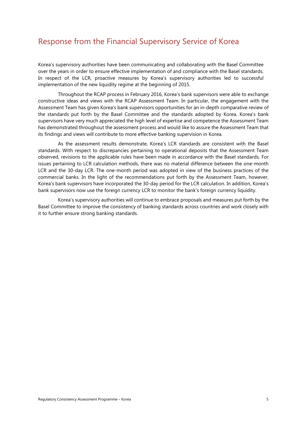# <span id="page-8-0"></span>Response from the Financial Supervisory Service of Korea

Korea's supervisory authorities have been communicating and collaborating with the Basel Committee over the years in order to ensure effective implementation of and compliance with the Basel standards. In respect of the LCR, proactive measures by Korea's supervisory authorities led to successful implementation of the new liquidity regime at the beginning of 2015.

Throughout the RCAP process in February 2016, Korea's bank supervisors were able to exchange constructive ideas and views with the RCAP Assessment Team. In particular, the engagement with the Assessment Team has given Korea's bank supervisors opportunities for an in-depth comparative review of the standards put forth by the Basel Committee and the standards adopted by Korea. Korea's bank supervisors have very much appreciated the high level of expertise and competence the Assessment Team has demonstrated throughout the assessment process and would like to assure the Assessment Team that its findings and views will contribute to more effective banking supervision in Korea.

As the assessment results demonstrate, Korea's LCR standards are consistent with the Basel standards. With respect to discrepancies pertaining to operational deposits that the Assessment Team observed, revisions to the applicable rules have been made in accordance with the Basel standards. For issues pertaining to LCR calculation methods, there was no material difference between the one-month LCR and the 30-day LCR. The one-month period was adopted in view of the business practices of the commercial banks. In the light of the recommendations put forth by the Assessment Team, however, Korea's bank supervisors have incorporated the 30-day period for the LCR calculation. In addition, Korea's bank supervisors now use the foreign currency LCR to monitor the bank's foreign currency liquidity.

Korea's supervisory authorities will continue to embrace proposals and measures put forth by the Basel Committee to improve the consistency of banking standards across countries and work closely with it to further ensure strong banking standards.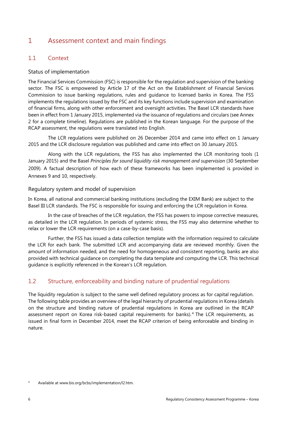### <span id="page-9-0"></span>1 Assessment context and main findings

#### <span id="page-9-1"></span>1.1 Context

#### Status of implementation

The Financial Services Commission (FSC) is responsible for the regulation and supervision of the banking sector. The FSC is empowered by Article 17 of the Act on the Establishment of Financial Services Commission to issue banking regulations, rules and guidance to licensed banks in Korea. The FSS implements the regulations issued by the FSC and its key functions include supervision and examination of financial firms, along with other enforcement and oversight activities. The Basel LCR standards have been in effect from 1 January 2015, implemented via the issuance of regulations and circulars (see Annex 2 for a complete timeline). Regulations are published in the Korean language. For the purpose of the RCAP assessment, the regulations were translated into English.

The LCR regulations were published on 26 December 2014 and came into effect on 1 January 2015 and the LCR disclosure regulation was published and came into effect on 30 January 2015.

Along with the LCR regulations, the FSS has also implemented the LCR monitoring tools (1 January 2015) and the Basel *Principles for sound liquidity risk management and supervision* (30 September 2009). A factual description of how each of these frameworks has been implemented is provided in Annexes 9 and 10, respectively.

#### Regulatory system and model of supervision

In Korea, all national and commercial banking institutions (excluding the EXIM Bank) are subject to the Basel III LCR standards. The FSC is responsible for issuing and enforcing the LCR regulation in Korea.

In the case of breaches of the LCR regulation, the FSS has powers to impose corrective measures, as detailed in the LCR regulation. In periods of systemic stress, the FSS may also determine whether to relax or lower the LCR requirements (on a case-by-case basis).

Further, the FSS has issued a data collection template with the information required to calculate the LCR for each bank. The submitted LCR and accompanying data are reviewed monthly. Given the amount of information needed, and the need for homogeneous and consistent reporting, banks are also provided with technical guidance on completing the data template and computing the LCR. This technical guidance is explicitly referenced in the Korean's LCR regulation.

#### <span id="page-9-2"></span>1.2 Structure, enforceability and binding nature of prudential regulations

The liquidity regulation is subject to the same well defined regulatory process as for capital regulation. The following table provides an overview of the legal hierarchy of prudential regulations in Korea (details on the structure and binding nature of prudential regulations in Korea are outlined in the RCAP assessment report on Korea risk-based capital requirements for banks). [4](#page-9-3) The LCR requirements, as issued in final form in December 2014, meet the RCAP criterion of being enforceable and binding in nature.

<span id="page-9-3"></span><sup>4</sup> Available at www.bis.org/bcbs/implementation/l2.htm.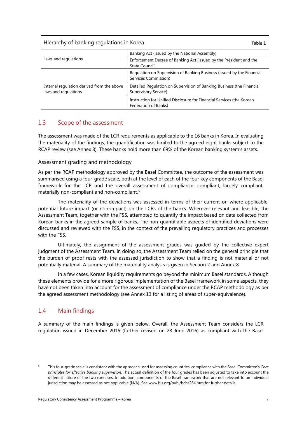Hierarchy of banking regulations in Korea Table 1 and the Table 1

|                                                                    | Banking Act (issued by the National Assembly)                                                  |
|--------------------------------------------------------------------|------------------------------------------------------------------------------------------------|
| Laws and regulations                                               | Enforcement Decree of Banking Act (issued by the President and the<br>State Council)           |
|                                                                    | Regulation on Supervision of Banking Business (issued by the Financial<br>Services Commission) |
| Internal regulation derived from the above<br>laws and regulations | Detailed Regulation on Supervision of Banking Business (the Financial<br>Supervisory Service)  |
|                                                                    | Instruction for Unified Disclosure for Financial Services (the Korean<br>Federation of Banks)  |

#### <span id="page-10-0"></span>1.3 Scope of the assessment

The assessment was made of the LCR requirements as applicable to the 16 banks in Korea. In evaluating the materiality of the findings, the quantification was limited to the agreed eight banks subject to the RCAP review (see Annex 8). These banks hold more than 69% of the Korean banking system's assets.

#### Assessment grading and methodology

As per the RCAP methodology approved by the Basel Committee, the outcome of the assessment was summarised using a four-grade scale, both at the level of each of the four key components of the Basel framework for the LCR and the overall assessment of compliance: compliant, largely compliant, materially non-compliant and non-compliant.<sup>[5](#page-10-2)</sup>

The materiality of the deviations was assessed in terms of their current or, where applicable, potential future impact (or non-impact) on the LCRs of the banks. Wherever relevant and feasible, the Assessment Team, together with the FSS, attempted to quantify the impact based on data collected from Korean banks in the agreed sample of banks. The non-quantifiable aspects of identified deviations were discussed and reviewed with the FSS, in the context of the prevailing regulatory practices and processes with the FSS.

Ultimately, the assignment of the assessment grades was guided by the collective expert judgment of the Assessment Team. In doing so, the Assessment Team relied on the general principle that the burden of proof rests with the assessed jurisdiction to show that a finding is not material or not potentially material. A summary of the materiality analysis is given in Section 2 and Annex 8.

In a few cases, Korean liquidity requirements go beyond the minimum Basel standards. Although these elements provide for a more rigorous implementation of the Basel framework in some aspects, they have not been taken into account for the assessment of compliance under the RCAP methodology as per the agreed assessment methodology (see Annex 13 for a listing of areas of super-equivalence).

#### <span id="page-10-1"></span>1.4 Main findings

A summary of the main findings is given below. Overall, the Assessment Team considers the LCR regulation issued in December 2015 (further revised on 28 June 2016) as compliant with the Basel

<span id="page-10-2"></span><sup>5</sup> This four-grade scale is consistent with the approach used for assessing countries' compliance with the Basel Committee's *Core principles for effective banking supervision*. The actual definition of the four grades has been adjusted to take into account the different nature of the two exercises. In addition, components of the Basel framework that are not relevant to an individual jurisdiction may be assessed as not applicable (N/A). See [www.bis.org/publ/bcbs264.htm](http://www.bis.org/publ/bcbs264.htm) for further details.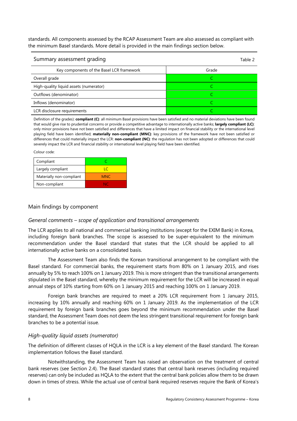standards. All components assessed by the RCAP Assessment Team are also assessed as compliant with the minimum Basel standards. More detail is provided in the main findings section below.

| Summary assessment grading                |       |
|-------------------------------------------|-------|
| Key components of the Basel LCR framework | Grade |
| Overall grade                             |       |
| High-quality liquid assets (numerator)    |       |
| Outflows (denominator)                    |       |
| Inflows (denominator)                     |       |
| LCR disclosure requirements               |       |

Definition of the grades): **compliant (C)**: all minimum Basel provisions have been satisfied and no material deviations have been found that would give rise to prudential concerns or provide a competitive advantage to internationally active banks; **largely compliant (LC)**: only minor provisions have not been satisfied and differences that have a limited impact on financial stability or the international level playing field have been identified; **materially non-compliant (MNC)**: key provisions of the framework have not been satisfied or differences that could materially impact the LCR: **non-compliant (NC)**: the regulation has not been adopted or differences that could severely impact the LCR and financial stability or international level playing field have been identified.

Colour code:

| Compliant                |            |
|--------------------------|------------|
| Largely compliant        |            |
| Materially non-compliant | <b>MNC</b> |
| Non-compliant            | NIC        |

#### Main findings by component

#### *General comments – scope of application and transitional arrangements*

The LCR applies to all national and commercial banking institutions (except for the EXIM Bank) in Korea, including foreign bank branches. The scope is assessed to be super-equivalent to the minimum recommendation under the Basel standard that states that the LCR should be applied to all internationally active banks on a consolidated basis.

The Assessment Team also finds the Korean transitional arrangement to be compliant with the Basel standard. For commercial banks, the requirement starts from 80% on 1 January 2015, and rises annually by 5% to reach 100% on 1 January 2019. This is more stringent than the transitional arrangements stipulated in the Basel standard, whereby the minimum requirement for the LCR will be increased in equal annual steps of 10% starting from 60% on 1 January 2015 and reaching 100% on 1 January 2019.

Foreign bank branches are required to meet a 20% LCR requirement from 1 January 2015, increasing by 10% annually and reaching 60% on 1 January 2019. As the implementation of the LCR requirement by foreign bank branches goes beyond the minimum recommendation under the Basel standard, the Assessment Team does not deem the less stringent transitional requirement for foreign bank branches to be a potential issue.

#### *High-quality liquid assets (numerator)*

The definition of different classes of HQLA in the LCR is a key element of the Basel standard. The Korean implementation follows the Basel standard.

Notwithstanding, the Assessment Team has raised an observation on the treatment of central bank reserves (see Section 2.4). The Basel standard states that central bank reserves (including required reserves) can only be included as HQLA to the extent that the central bank policies allow them to be drawn down in times of stress. While the actual use of central bank required reserves require the Bank of Korea's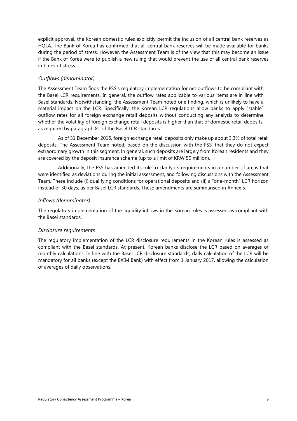explicit approval, the Korean domestic rules explicitly permit the inclusion of all central bank reserves as HQLA. The Bank of Korea has confirmed that all central bank reserves will be made available for banks during the period of stress. However, the Assessment Team is of the view that this may become an issue if the Bank of Korea were to publish a new ruling that would prevent the use of all central bank reserves in times of stress.

#### *Outflows (denominator)*

The Assessment Team finds the FSS's regulatory implementation for net outflows to be compliant with the Basel LCR requirements. In general, the outflow rates applicable to various items are in line with Basel standards. Notwithstanding, the Assessment Team noted one finding, which is unlikely to have a material impact on the LCR. Specifically, the Korean LCR regulations allow banks to apply "stable" outflow rates for all foreign exchange retail deposits without conducting any analysis to determine whether the volatility of foreign exchange retail deposits is higher than that of domestic retail deposits, as required by paragraph 81 of the Basel LCR standards.

As of 31 December 2015, foreign exchange retail deposits only make up about 3.3% of total retail deposits. The Assessment Team noted, based on the discussion with the FSS, that they do not expect extraordinary growth in this segment. In general, such deposits are largely from Korean residents and they are covered by the deposit insurance scheme (up to a limit of KRW 50 million).

Additionally, the FSS has amended its rule to clarify its requirements in a number of areas that were identified as deviations during the initial assessment, and following discussions with the Assessment Team. These include (i) qualifying conditions for operational deposits and (ii) a "one-month" LCR horizon instead of 30 days, as per Basel LCR standards. These amendments are summarised in Annex 5.

#### *Inflows (denominator)*

The regulatory implementation of the liquidity inflows in the Korean rules is assessed as compliant with the Basel standards.

#### *Disclosure requirements*

The regulatory implementation of the LCR disclosure requirements in the Korean rules is assessed as compliant with the Basel standards. At present, Korean banks disclose the LCR based on averages of monthly calculations. In line with the Basel LCR disclosure standards, daily calculation of the LCR will be mandatory for all banks (except the EXIM Bank) with effect from 1 January 2017, allowing the calculation of averages of daily observations.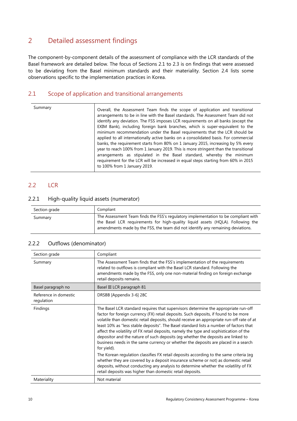### <span id="page-13-0"></span>2 Detailed assessment findings

The component-by-component details of the assessment of compliance with the LCR standards of the Basel framework are detailed below. The focus of Sections 2.1 to 2.3 is on findings that were assessed to be deviating from the Basel minimum standards and their materiality. Section 2.4 lists some observations specific to the implementation practices in Korea.

#### <span id="page-13-1"></span>2.1 Scope of application and transitional arrangements

| Summary | Overall, the Assessment Team finds the scope of application and transitional<br>arrangements to be in line with the Basel standards. The Assessment Team did not<br>identify any deviation. The FSS imposes LCR requirements on all banks (except the<br>EXIM Bank), including foreign bank branches, which is super-equivalent to the<br>minimum recommendation under the Basel requirements that the LCR should be<br>applied to all internationally active banks on a consolidated basis. For commercial<br>banks, the requirement starts from 80% on 1 January 2015, increasing by 5% every<br>year to reach 100% from 1 January 2019. This is more stringent than the transitional<br>arrangements as stipulated in the Basel standard, whereby the minimum |
|---------|------------------------------------------------------------------------------------------------------------------------------------------------------------------------------------------------------------------------------------------------------------------------------------------------------------------------------------------------------------------------------------------------------------------------------------------------------------------------------------------------------------------------------------------------------------------------------------------------------------------------------------------------------------------------------------------------------------------------------------------------------------------|
|         | requirement for the LCR will be increased in equal steps starting from 60% in 2015<br>to 100% from 1 January 2019.                                                                                                                                                                                                                                                                                                                                                                                                                                                                                                                                                                                                                                               |

#### <span id="page-13-2"></span>2.2 LCR

#### <span id="page-13-3"></span>2.2.1 High-quality liquid assets (numerator)

| Section grade | Compliant                                                                                                                                                                                                                                                |
|---------------|----------------------------------------------------------------------------------------------------------------------------------------------------------------------------------------------------------------------------------------------------------|
| Summary       | The Assessment Team finds the FSS's regulatory implementation to be compliant with<br>the Basel LCR requirements for high-quality liquid assets (HQLA). Following the<br>amendments made by the FSS, the team did not identify any remaining deviations. |

| Section grade                       | Compliant                                                                                                                                                                                                                                                                                                                                                                                                                                                                                                                                                                                                                                                                                                                                                                                                                                                                                                                                                                              |
|-------------------------------------|----------------------------------------------------------------------------------------------------------------------------------------------------------------------------------------------------------------------------------------------------------------------------------------------------------------------------------------------------------------------------------------------------------------------------------------------------------------------------------------------------------------------------------------------------------------------------------------------------------------------------------------------------------------------------------------------------------------------------------------------------------------------------------------------------------------------------------------------------------------------------------------------------------------------------------------------------------------------------------------|
| Summary                             | The Assessment Team finds that the FSS's implementation of the requirements<br>related to outflows is compliant with the Basel LCR standard. Following the<br>amendments made by the FSS, only one non-material finding on foreign exchange<br>retail deposits remains.                                                                                                                                                                                                                                                                                                                                                                                                                                                                                                                                                                                                                                                                                                                |
| Basel paragraph no                  | Basel III LCR paragraph 81                                                                                                                                                                                                                                                                                                                                                                                                                                                                                                                                                                                                                                                                                                                                                                                                                                                                                                                                                             |
| Reference in domestic<br>regulation | DRSBB [Appendix 3-6] 28C                                                                                                                                                                                                                                                                                                                                                                                                                                                                                                                                                                                                                                                                                                                                                                                                                                                                                                                                                               |
| <b>Findings</b>                     | The Basel LCR standard requires that supervisors determine the appropriate run-off<br>factor for foreign currency (FX) retail deposits. Such deposits, if found to be more<br>volatile than domestic retail deposits, should receive an appropriate run-off rate of at<br>least 10% as "less stable deposits". The Basel standard lists a number of factors that<br>affect the volatility of FX retail deposits, namely the type and sophistication of the<br>depositor and the nature of such deposits (eg whether the deposits are linked to<br>business needs in the same currency or whether the deposits are placed in a search<br>for yield).<br>The Korean regulation classifies FX retail deposits according to the same criteria (eg<br>whether they are covered by a deposit insurance scheme or not) as domestic retail<br>deposits, without conducting any analysis to determine whether the volatility of FX<br>retail deposits was higher than domestic retail deposits. |
| Materiality                         | Not material                                                                                                                                                                                                                                                                                                                                                                                                                                                                                                                                                                                                                                                                                                                                                                                                                                                                                                                                                                           |

#### <span id="page-13-4"></span>2.2.2 Outflows (denominator)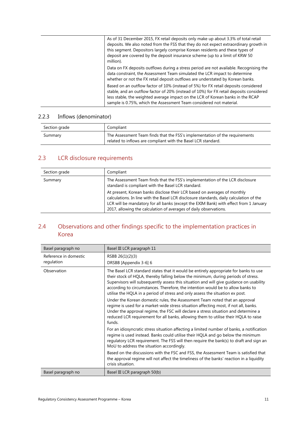| As of 31 December 2015, FX retail deposits only make up about 3.3% of total retail<br>deposits. We also noted from the FSS that they do not expect extraordinary growth in<br>this segment. Depositors largely comprise Korean residents and these types of<br>deposit are covered by the deposit insurance scheme (up to a limit of KRW 50<br>million). |
|----------------------------------------------------------------------------------------------------------------------------------------------------------------------------------------------------------------------------------------------------------------------------------------------------------------------------------------------------------|
| Data on FX deposits outflows during a stress period are not available. Recognising the<br>data constraint, the Assessment Team simulated the LCR impact to determine<br>whether or not the FX retail deposit outflows are understated by Korean banks.                                                                                                   |
| Based on an outflow factor of 10% (instead of 5%) for FX retail deposits considered<br>stable, and an outflow factor of 20% (instead of 10%) for FX retail deposits considered<br>less stable, the weighted average impact on the LCR of Korean banks in the RCAP<br>sample is 0.75%, which the Assessment Team considered not material.                 |

#### <span id="page-14-0"></span>2.2.3 Inflows (denominator)

| Section grade | Compliant                                                                                                                                    |
|---------------|----------------------------------------------------------------------------------------------------------------------------------------------|
| Summary       | The Assessment Team finds that the FSS's implementation of the requirements<br>related to inflows are compliant with the Basel LCR standard. |

## <span id="page-14-1"></span>2.3 LCR disclosure requirements

| Section grade | Compliant                                                                                                                                                                                                                                                                                                                         |
|---------------|-----------------------------------------------------------------------------------------------------------------------------------------------------------------------------------------------------------------------------------------------------------------------------------------------------------------------------------|
| Summary       | The Assessment Team finds that the FSS's implementation of the LCR disclosure<br>standard is compliant with the Basel LCR standard.                                                                                                                                                                                               |
|               | At present, Korean banks disclose their LCR based on averages of monthly<br>calculations. In line with the Basel LCR disclosure standards, daily calculation of the<br>LCR will be mandatory for all banks (except the EXIM Bank) with effect from 1 January<br>2017, allowing the calculation of averages of daily observations. |

### <span id="page-14-2"></span>2.4 Observations and other findings specific to the implementation practices in Korea

| Basel paragraph no                  | Basel III LCR paragraph 11                                                                                                                                                                                                                                                                                                                                                                                                               |
|-------------------------------------|------------------------------------------------------------------------------------------------------------------------------------------------------------------------------------------------------------------------------------------------------------------------------------------------------------------------------------------------------------------------------------------------------------------------------------------|
| Reference in domestic<br>regulation | RSBB 26(1)(2)(3)<br>DRSBB [Appendix 3-6] 6                                                                                                                                                                                                                                                                                                                                                                                               |
| Observation                         | The Basel LCR standard states that it would be entirely appropriate for banks to use<br>their stock of HQLA, thereby falling below the minimum, during periods of stress.<br>Supervisors will subsequently assess this situation and will give guidance on usability<br>according to circumstances. Therefore, the intention would be to allow banks to<br>utilise the HQLA in a period of stress and only assess the situation ex post. |
|                                     | Under the Korean domestic rules, the Assessment Team noted that an approval<br>regime is used for a market-wide stress situation affecting most, if not all, banks.<br>Under the approval regime, the FSC will declare a stress situation and determine a<br>reduced LCR requirement for all banks, allowing them to utilise their HQLA to raise<br>funds.                                                                               |
|                                     | For an idiosyncratic stress situation affecting a limited number of banks, a notification<br>regime is used instead. Banks could utilise their HQLA and go below the minimum<br>regulatory LCR requirement. The FSS will then require the bank(s) to draft and sign an<br>MoU to address the situation accordingly.                                                                                                                      |
|                                     | Based on the discussions with the FSC and FSS, the Assessment Team is satisfied that<br>the approval regime will not affect the timeliness of the banks' reaction in a liquidity<br>crisis situation.                                                                                                                                                                                                                                    |
| Basel paragraph no                  | Basel III LCR paragraph 50(b)                                                                                                                                                                                                                                                                                                                                                                                                            |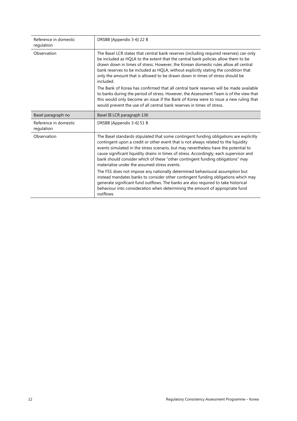| Reference in domestic<br>regulation | DRSBB [Appendix 3-6] 22 B                                                                                                                                                                                                                                                                                                                                                                                                                                                                         |  |
|-------------------------------------|---------------------------------------------------------------------------------------------------------------------------------------------------------------------------------------------------------------------------------------------------------------------------------------------------------------------------------------------------------------------------------------------------------------------------------------------------------------------------------------------------|--|
| Observation                         | The Basel LCR states that central bank reserves (including required reserves) can only<br>be included as HQLA to the extent that the central bank policies allow them to be<br>drawn down in times of stress. However, the Korean domestic rules allow all central<br>bank reserves to be included as HQLA, without explicitly stating the condition that<br>only the amount that is allowed to be drawn down in times of stress should be<br>included.                                           |  |
|                                     | The Bank of Korea has confirmed that all central bank reserves will be made available<br>to banks during the period of stress. However, the Assessment Team is of the view that<br>this would only become an issue if the Bank of Korea were to issue a new ruling that<br>would prevent the use of all central bank reserves in times of stress.                                                                                                                                                 |  |
| Basel paragraph no                  | Basel III LCR paragraph 136                                                                                                                                                                                                                                                                                                                                                                                                                                                                       |  |
| Reference in domestic<br>regulation | DRSBB [Appendix 3-6] 51 B                                                                                                                                                                                                                                                                                                                                                                                                                                                                         |  |
| Observation                         | The Basel standards stipulated that some contingent funding obligations are explicitly<br>contingent upon a credit or other event that is not always related to the liquidity<br>events simulated in the stress scenario, but may nevertheless have the potential to<br>cause significant liquidity drains in times of stress. Accordingly, each supervisor and<br>bank should consider which of these "other contingent funding obligations" may<br>materialise under the assumed stress events. |  |
|                                     | The FSS does not impose any nationally determined behavioural assumption but<br>instead mandates banks to consider other contingent funding obligations which may<br>generate significant fund outflows. The banks are also required to take historical<br>behaviour into consideration when determining the amount of appropriate fund<br>outflows.                                                                                                                                              |  |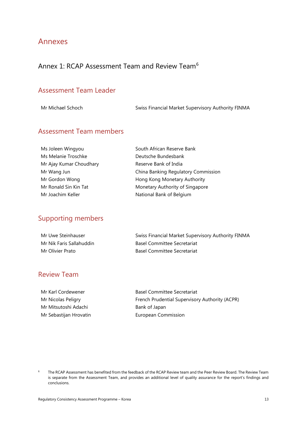### <span id="page-16-0"></span>Annexes

# <span id="page-16-1"></span>Annex 1: RCAP Assessment Team and Review Team<sup>[6](#page-16-2)</sup>

#### Assessment Team Leader

Mr Michael Schoch Swiss Financial Market Supervisory Authority FINMA

### Assessment Team members

| Ms Joleen Wingyou       |  |  |
|-------------------------|--|--|
| Ms Melanie Troschke     |  |  |
| Mr Ajay Kumar Choudhary |  |  |
| Mr Wang Jun             |  |  |
| Mr Gordon Wong          |  |  |
| Mr Ronald Sin Kin Tat   |  |  |
| Mr Joachim Keller       |  |  |

South African Reserve Bank Deutsche Bundesbank Reserve Bank of India China Banking Regulatory Commission Hong Kong Monetary Authority Monetary Authority of Singapore National Bank of Belgium

### Supporting members

| Mr Uwe Steinhauser       | Swiss Financial Market Supervisory Authority FINMA |
|--------------------------|----------------------------------------------------|
| Mr Nik Faris Sallahuddin | <b>Basel Committee Secretariat</b>                 |
| Mr Olivier Prato         | <b>Basel Committee Secretariat</b>                 |

#### Review Team

Mr Mitsutoshi Adachi **Bank of Japan** Mr Sebastijan Hrovatin **European Commission** 

Mr Karl Cordewener **Basel Committee Secretariat** Mr Nicolas Peligry **French Prudential Supervisory Authority (ACPR)** 

<span id="page-16-2"></span><sup>&</sup>lt;sup>6</sup> The RCAP Assessment has benefited from the feedback of the RCAP Review team and the Peer Review Board. The Review Team is separate from the Assessment Team, and provides an additional level of quality assurance for the report's findings and conclusions.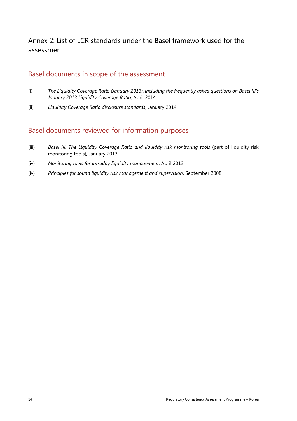### <span id="page-17-0"></span>Annex 2: List of LCR standards under the Basel framework used for the assessment

### Basel documents in scope of the assessment

- (i) *The Liquidity Coverage Ratio (January 2013), including the frequently asked questions on Basel III's January 2013 Liquidity Coverage Ratio*, April 2014
- (ii) *Liquidity Coverage Ratio disclosure standards*, January 2014

### Basel documents reviewed for information purposes

- (iii) *Basel III: The Liquidity Coverage Ratio and liquidity risk monitoring tools* (part of liquidity risk monitoring tools), January 2013
- (iv) *Monitoring tools for intraday liquidity management*, April 2013
- (iv) *Principles for sound liquidity risk management and supervision*, September 2008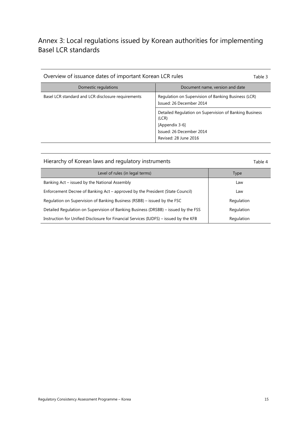## <span id="page-18-0"></span>Annex 3: Local regulations issued by Korean authorities for implementing Basel LCR standards

| Overview of issuance dates of important Korean LCR rules<br>Table 3 |                                                                                                                                        |  |
|---------------------------------------------------------------------|----------------------------------------------------------------------------------------------------------------------------------------|--|
| Domestic regulations                                                | Document name, version and date                                                                                                        |  |
| Basel LCR standard and LCR disclosure requirements                  | Regulation on Supervision of Banking Business (LCR)<br>Issued: 26 December 2014                                                        |  |
|                                                                     | Detailed Regulation on Supervision of Banking Business<br>(LCR)<br>[Appendix 3-6]<br>Issued: 26 December 2014<br>Revised: 28 June 2016 |  |

#### Hierarchy of Korean laws and regulatory instruments Table 4

| Level of rules (in legal terms)                                                       | Type       |
|---------------------------------------------------------------------------------------|------------|
| Banking Act – issued by the National Assembly                                         | Law        |
| Enforcement Decree of Banking Act – approved by the President (State Council)         | Law        |
| Regulation on Supervision of Banking Business (RSBB) – issued by the FSC              | Regulation |
| Detailed Regulation on Supervision of Banking Business (DRSBB) – issued by the FSS    | Regulation |
| Instruction for Unified Disclosure for Financial Services (IUDFS) – issued by the KFB | Regulation |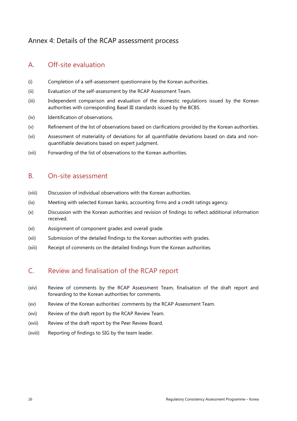### <span id="page-19-0"></span>Annex 4: Details of the RCAP assessment process

### A. Off-site evaluation

- (i) Completion of a self-assessment questionnaire by the Korean authorities.
- (ii) Evaluation of the self-assessment by the RCAP Assessment Team.
- (iii) Independent comparison and evaluation of the domestic regulations issued by the Korean authorities with corresponding Basel III standards issued by the BCBS.
- (iv) Identification of observations.
- (v) Refinement of the list of observations based on clarifications provided by the Korean authorities.
- (vi) Assessment of materiality of deviations for all quantifiable deviations based on data and nonquantifiable deviations based on expert judgment.
- (vii) Forwarding of the list of observations to the Korean authorities.

### B. On-site assessment

- (viii) Discussion of individual observations with the Korean authorities.
- (ix) Meeting with selected Korean banks, accounting firms and a credit ratings agency.
- (x) Discussion with the Korean authorities and revision of findings to reflect additional information received.
- (xi) Assignment of component grades and overall grade.
- (xii) Submission of the detailed findings to the Korean authorities with grades.
- (xiii) Receipt of comments on the detailed findings from the Korean authorities.

### C. Review and finalisation of the RCAP report

- (xiv) Review of comments by the RCAP Assessment Team, finalisation of the draft report and forwarding to the Korean authorities for comments.
- (xv) Review of the Korean authorities' comments by the RCAP Assessment Team.
- (xvi) Review of the draft report by the RCAP Review Team.
- (xvii) Review of the draft report by the Peer Review Board.
- (xviii) Reporting of findings to SIG by the team leader.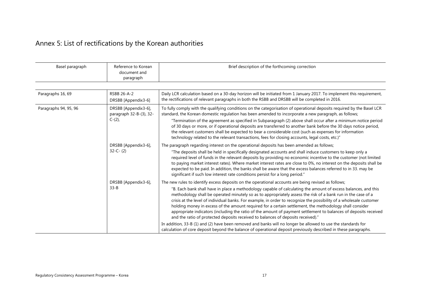# Annex 5: List of rectifications by the Korean authorities

<span id="page-20-0"></span>

| Basel paragraph       | Reference to Korean<br>document and<br>paragraph             | Brief description of the forthcoming correction                                                                                                                                                                                                                                                                                                                                                                                                                                                                                                                                                                                                                                                                                                                                                                                                                                                 |  |
|-----------------------|--------------------------------------------------------------|-------------------------------------------------------------------------------------------------------------------------------------------------------------------------------------------------------------------------------------------------------------------------------------------------------------------------------------------------------------------------------------------------------------------------------------------------------------------------------------------------------------------------------------------------------------------------------------------------------------------------------------------------------------------------------------------------------------------------------------------------------------------------------------------------------------------------------------------------------------------------------------------------|--|
| Paragraphs 16, 69     | RSBB 26-A-2<br>DRSBB [Appendix3-6]                           | Daily LCR calculation based on a 30-day horizon will be initiated from 1 January 2017. To implement this requirement,<br>the rectifications of relevant paragraphs in both the RSBB and DRSBB will be completed in 2016.                                                                                                                                                                                                                                                                                                                                                                                                                                                                                                                                                                                                                                                                        |  |
| Paragraphs 94, 95, 96 | DRSBB [Appendix3-6],<br>paragraph 32-B-(3), 32-<br>$C-(2)$ , | To fully comply with the qualifying conditions on the categorisation of operational deposits required by the Basel LCR<br>standard, the Korean domestic regulation has been amended to incorporate a new paragraph, as follows;<br>"Termination of the agreement as specified in Subparagraph (2) above shall occur after a minimum notice period<br>of 30 days or more, or if operational deposits are transferred to another bank before the 30 days notice period,<br>the relevant customers shall be expected to bear a considerable cost (such as expenses for information<br>technology related to the relevant transactions, fees for closing accounts, legal costs, etc.)"                                                                                                                                                                                                              |  |
| $32-C- (2)$           | DRSBB [Appendix3-6],                                         | The paragraph regarding interest on the operational deposits has been amended as follows;<br>"The deposits shall be held in specifically designated accounts and shall induce customers to keep only a<br>required level of funds in the relevant deposits by providing no economic incentive to the customer (not limited<br>to paying market interest rates). Where market interest rates are close to 0%, no interest on the deposits shall be<br>expected to be paid. In addition, the banks shall be aware that the excess balances referred to in 33. may be<br>significant if such low interest rate conditions persist for a long period."                                                                                                                                                                                                                                              |  |
|                       | DRSBB [Appendix3-6],<br>$33 - B$                             | The new rules to identify excess deposits on the operational accounts are being revised as follows;<br>"B. Each bank shall have in place a methodology capable of calculating the amount of excess balances, and this<br>methodology shall be operated minutely so as to appropriately assess the risk of a bank run in the case of a<br>crisis at the level of individual banks. For example, in order to recognize the possibility of a wholesale customer<br>holding money in excess of the amount required for a certain settlement, the methodology shall consider<br>appropriate indicators (including the ratio of the amount of payment settlement to balances of deposits received<br>and the ratio of protected deposits received to balances of deposits received)."<br>In addition, 33-B (1) and (2) have been removed and banks will no longer be allowed to use the standards for |  |
|                       |                                                              | calculation of core deposit beyond the balance of operational deposit previously described in these paragraphs.                                                                                                                                                                                                                                                                                                                                                                                                                                                                                                                                                                                                                                                                                                                                                                                 |  |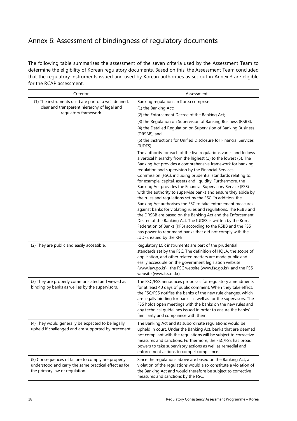# <span id="page-21-0"></span>Annex 6: Assessment of bindingness of regulatory documents

The following table summarises the assessment of the seven criteria used by the Assessment Team to determine the eligibility of Korean regulatory documents. Based on this, the Assessment Team concluded that the regulatory instruments issued and used by Korean authorities as set out in Annex 3 are eligible for the RCAP assessment.

| Criterion                                                                                                                                     | Assessment                                                                                                                                                                                                                                                                                                                                                                                                                                                                                                                                                                                                                                                                                                                                                                                                                                                                                                                                                                                                           |
|-----------------------------------------------------------------------------------------------------------------------------------------------|----------------------------------------------------------------------------------------------------------------------------------------------------------------------------------------------------------------------------------------------------------------------------------------------------------------------------------------------------------------------------------------------------------------------------------------------------------------------------------------------------------------------------------------------------------------------------------------------------------------------------------------------------------------------------------------------------------------------------------------------------------------------------------------------------------------------------------------------------------------------------------------------------------------------------------------------------------------------------------------------------------------------|
| (1) The instruments used are part of a well defined,                                                                                          | Banking regulations in Korea comprise:                                                                                                                                                                                                                                                                                                                                                                                                                                                                                                                                                                                                                                                                                                                                                                                                                                                                                                                                                                               |
| clear and transparent hierarchy of legal and                                                                                                  | (1) the Banking Act;                                                                                                                                                                                                                                                                                                                                                                                                                                                                                                                                                                                                                                                                                                                                                                                                                                                                                                                                                                                                 |
| regulatory framework.                                                                                                                         | (2) the Enforcement Decree of the Banking Act;                                                                                                                                                                                                                                                                                                                                                                                                                                                                                                                                                                                                                                                                                                                                                                                                                                                                                                                                                                       |
|                                                                                                                                               | (3) the Regulation on Supervision of Banking Business (RSBB);                                                                                                                                                                                                                                                                                                                                                                                                                                                                                                                                                                                                                                                                                                                                                                                                                                                                                                                                                        |
|                                                                                                                                               | (4) the Detailed Regulation on Supervision of Banking Business<br>(DRSBB); and                                                                                                                                                                                                                                                                                                                                                                                                                                                                                                                                                                                                                                                                                                                                                                                                                                                                                                                                       |
|                                                                                                                                               | (5) the Instructions for Unified Disclosure for Financial Services<br>(IUDFS).                                                                                                                                                                                                                                                                                                                                                                                                                                                                                                                                                                                                                                                                                                                                                                                                                                                                                                                                       |
|                                                                                                                                               | The authority for each of the five regulations varies and follows<br>a vertical hierarchy from the highest (1) to the lowest (5). The<br>Banking Act provides a comprehensive framework for banking<br>regulation and supervision by the Financial Services<br>Commission (FSC), including prudential standards relating to,<br>for example, capital, assets and liquidity. Furthermore, the<br>Banking Act provides the Financial Supervisory Service (FSS)<br>with the authority to supervise banks and ensure they abide by<br>the rules and regulations set by the FSC. In addition, the<br>Banking Act authorises the FSC to take enforcement measures<br>against banks for violating rules and regulations. The RSBB and<br>the DRSBB are based on the Banking Act and the Enforcement<br>Decree of the Banking Act. The IUDFS is written by the Korea<br>Federation of Banks (KFB) according to the RSBB and the FSS<br>has power to reprimand banks that did not comply with the<br>IUDFS issued by the KFB. |
| (2) They are public and easily accessible.                                                                                                    | Regulatory LCR instruments are part of the prudential<br>standards set by the FSC. The definition of HQLA, the scope of<br>application, and other related matters are made public and<br>easily accessible on the government legislation website<br>(www.law.go.kr), the FSC website (www.fsc.go.kr), and the FSS<br>website (www.fss.or.kr).                                                                                                                                                                                                                                                                                                                                                                                                                                                                                                                                                                                                                                                                        |
| (3) They are properly communicated and viewed as<br>binding by banks as well as by the supervisors.                                           | The FSC/FSS announces proposals for regulatory amendments<br>for at least 40 days of public comment. When they take effect,<br>the FSC/FSS notifies the banks of the new rule changes, which<br>are legally binding for banks as well as for the supervisors. The<br>FSS holds open meetings with the banks on the new rules and<br>any technical guidelines issued in order to ensure the banks'<br>familiarity and compliance with them.                                                                                                                                                                                                                                                                                                                                                                                                                                                                                                                                                                           |
| (4) They would generally be expected to be legally<br>upheld if challenged and are supported by precedent.                                    | The Banking Act and its subordinate regulations would be<br>upheld in court. Under the Banking Act, banks that are deemed<br>not compliant with the regulations will be subject to corrective<br>measures and sanctions. Furthermore, the FSC/FSS has broad<br>powers to take supervisory actions as well as remedial and<br>enforcement actions to compel compliance.                                                                                                                                                                                                                                                                                                                                                                                                                                                                                                                                                                                                                                               |
| (5) Consequences of failure to comply are properly<br>understood and carry the same practical effect as for<br>the primary law or regulation. | Since the regulations above are based on the Banking Act, a<br>violation of the regulations would also constitute a violation of<br>the Banking Act and would therefore be subject to corrective<br>measures and sanctions by the FSC.                                                                                                                                                                                                                                                                                                                                                                                                                                                                                                                                                                                                                                                                                                                                                                               |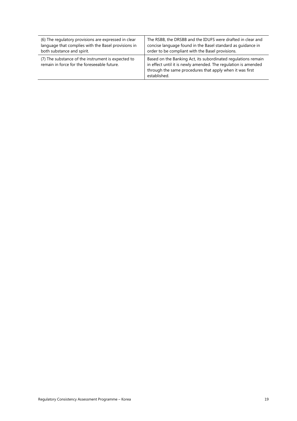| (6) The regulatory provisions are expressed in clear                                              | The RSBB, the DRSBB and the IDUFS were drafted in clear and                                                                                                                                                 |
|---------------------------------------------------------------------------------------------------|-------------------------------------------------------------------------------------------------------------------------------------------------------------------------------------------------------------|
| language that complies with the Basel provisions in                                               | concise language found in the Basel standard as guidance in                                                                                                                                                 |
| both substance and spirit.                                                                        | order to be compliant with the Basel provisions.                                                                                                                                                            |
| (7) The substance of the instrument is expected to<br>remain in force for the foreseeable future. | Based on the Banking Act, its subordinated regulations remain<br>in effect until it is newly amended. The regulation is amended<br>through the same procedures that apply when it was first<br>established. |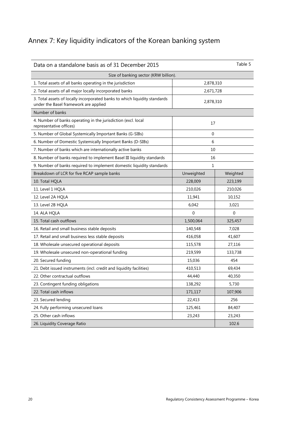# <span id="page-23-0"></span>Annex 7: Key liquidity indicators of the Korean banking system

| Data on a standalone basis as of 31 December 2015                                                                   | Table 5     |             |
|---------------------------------------------------------------------------------------------------------------------|-------------|-------------|
| Size of banking sector (KRW billion).                                                                               |             |             |
| 1. Total assets of all banks operating in the jurisdiction                                                          | 2,878,310   |             |
| 2. Total assets of all major locally incorporated banks                                                             | 2,671,728   |             |
| 3. Total assets of locally incorporated banks to which liquidity standards<br>under the Basel framework are applied | 2,878,310   |             |
| Number of banks                                                                                                     |             |             |
| 4. Number of banks operating in the jurisdiction (excl. local<br>representative offices)                            | 17          |             |
| 5. Number of Global Systemically Important Banks (G-SIBs)                                                           | $\mathbf 0$ |             |
| 6. Number of Domestic Systemically Important Banks (D-SIBs)                                                         | 6           |             |
| 7. Number of banks which are internationally active banks                                                           | 10          |             |
| 8. Number of banks required to implement Basel III liquidity standards                                              | 16          |             |
| 9. Number of banks required to implement domestic liquidity standards                                               | 1           |             |
| Breakdown of LCR for five RCAP sample banks                                                                         | Unweighted  | Weighted    |
| 10. Total HQLA                                                                                                      | 228,009     | 223,199     |
| 11. Level 1 HQLA                                                                                                    | 210,026     | 210,026     |
| 12. Level 2A HQLA                                                                                                   | 11,941      | 10,152      |
| 13. Level 2B HQLA                                                                                                   | 6,042       | 3,021       |
| 14. ALA HQLA                                                                                                        | $\mathbf 0$ | $\mathbf 0$ |
| 15. Total cash outflows                                                                                             | 1,500,064   | 325,457     |
| 16. Retail and small business stable deposits                                                                       | 140,548     | 7,028       |
| 17. Retail and small business less stable deposits                                                                  | 416,058     | 41,607      |
| 18. Wholesale unsecured operational deposits                                                                        | 115,578     | 27,116      |
| 19. Wholesale unsecured non-operational funding                                                                     | 219,599     | 133,738     |
| 20. Secured funding                                                                                                 | 15,036      | 454         |
| 21. Debt issued instruments (incl. credit and liquidity facilities)                                                 | 410,513     | 69,434      |
| 22. Other contractual outflows                                                                                      | 44,440      | 40,350      |
| 23. Contingent funding obligations                                                                                  | 138,292     | 5,730       |
| 22. Total cash inflows                                                                                              | 171,117     | 107,906     |
| 23. Secured lending                                                                                                 | 22,413      | 256         |
| 24. Fully performing unsecured loans                                                                                | 125,461     | 84,407      |
| 25. Other cash inflows                                                                                              | 23,243      | 23,243      |
| 26. Liquidity Coverage Ratio                                                                                        |             | 102.6       |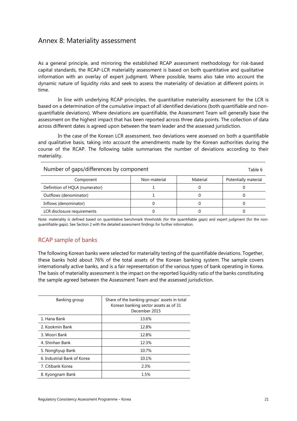### <span id="page-24-0"></span>Annex 8: Materiality assessment

As a general principle, and mirroring the established RCAP assessment methodology for risk-based capital standards, the RCAP-LCR materiality assessment is based on both quantitative and qualitative information with an overlay of expert judgment. Where possible, teams also take into account the dynamic nature of liquidity risks and seek to assess the materiality of deviation at different points in time.

In line with underlying RCAP principles, the quantitative materiality assessment for the LCR is based on a determination of the cumulative impact of all identified deviations (both quantifiable and nonquantifiable deviations). Where deviations are quantifiable, the Assessment Team will generally base the assessment on the highest impact that has been reported across three data points. The collection of data across different dates is agreed upon between the team leader and the assessed jurisdiction.

In the case of the Korean LCR assessment, two deviations were assessed on both a quantifiable and qualitative basis, taking into account the amendments made by the Korean authorities during the course of the RCAP. The following table summarises the number of deviations according to their materiality.

Number of gaps/differences by component Table 6

| <b>Trainber</b> or gaps, annoiences by component<br>iavic v |              |          |                      |
|-------------------------------------------------------------|--------------|----------|----------------------|
| Component                                                   | Non-material | Material | Potentially material |
| Definition of HQLA (numerator)                              |              |          |                      |
| Outflows (denominator)                                      |              |          |                      |
| Inflows (denominator)                                       |              |          |                      |
| LCR disclosure requirements                                 |              |          |                      |

Note: materiality is defined based on quantitative benchmark thresholds (for the quantifiable gaps) and expert judgment (for the nonquantifiable gaps). See Section 2 with the detailed assessment findings for further information.

#### RCAP sample of banks

The following Korean banks were selected for materiality testing of the quantifiable deviations. Together, these banks hold about 76% of the total assets of the Korean banking system. The sample covers internationally active banks, and is a fair representation of the various types of bank operating in Korea. The basis of materiality assessment is the impact on the reported liquidity ratio of the banks constituting the sample agreed between the Assessment Team and the assessed jurisdiction.

| Banking group               | Share of the banking groups' assets in total<br>Korean banking sector assets as of 31<br>December 2015 |
|-----------------------------|--------------------------------------------------------------------------------------------------------|
| 1. Hana Bank                | 13.6%                                                                                                  |
| 2. Kookmin Bank             | 12.8%                                                                                                  |
| 3. Woori Bank               | 12.8%                                                                                                  |
| 4. Shinhan Bank             | 12.3%                                                                                                  |
| 5. Nonghyup Bank            | 10.7%                                                                                                  |
| 6. Industrial Bank of Korea | 10.1%                                                                                                  |
| 7. Citibank Korea           | 2.3%                                                                                                   |
| 8. Kyongnam Bank            | 1.5%                                                                                                   |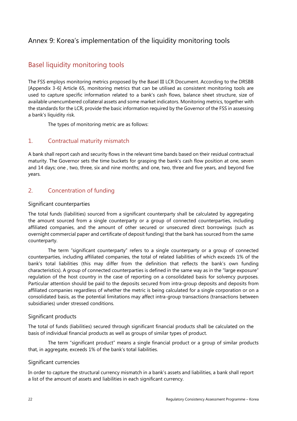### <span id="page-25-0"></span>Annex 9: Korea's implementation of the liquidity monitoring tools

### Basel liquidity monitoring tools

The FSS employs monitoring metrics proposed by the Basel III LCR Document. According to the DRSBB [Appendix 3-6] Article 65, monitoring metrics that can be utilised as consistent monitoring tools are used to capture specific information related to a bank's cash flows, balance sheet structure, size of available unencumbered collateral assets and some market indicators. Monitoring metrics, together with the standards for the LCR, provide the basic information required by the Governor of the FSS in assessing a bank's liquidity risk.

The types of monitoring metric are as follows:

#### 1. Contractual maturity mismatch

A bank shall report cash and security flows in the relevant time bands based on their residual contractual maturity. The Governor sets the time buckets for grasping the bank's cash flow position at one, seven and 14 days; one , two, three, six and nine months; and one, two, three and five years, and beyond five years.

#### 2. Concentration of funding

#### Significant counterparties

The total funds (liabilities) sourced from a significant counterparty shall be calculated by aggregating the amount sourced from a single counterparty or a group of connected counterparties, including affiliated companies, and the amount of other secured or unsecured direct borrowings (such as overnight commercial paper and certificate of deposit funding) that the bank has sourced from the same counterparty.

The term "significant counterparty" refers to a single counterparty or a group of connected counterparties, including affiliated companies, the total of related liabilities of which exceeds 1% of the bank's total liabilities (this may differ from the definition that reflects the bank's own funding characteristics). A group of connected counterparties is defined in the same way as in the "large exposure" regulation of the host country in the case of reporting on a consolidated basis for solvency purposes. Particular attention should be paid to the deposits secured from intra-group deposits and deposits from affiliated companies regardless of whether the metric is being calculated for a single corporation or on a consolidated basis, as the potential limitations may affect intra-group transactions (transactions between subsidiaries) under stressed conditions.

#### Significant products

The total of funds (liabilities) secured through significant financial products shall be calculated on the basis of individual financial products as well as groups of similar types of product.

The term "significant product" means a single financial product or a group of similar products that, in aggregate, exceeds 1% of the bank's total liabilities.

#### Significant currencies

In order to capture the structural currency mismatch in a bank's assets and liabilities, a bank shall report a list of the amount of assets and liabilities in each significant currency.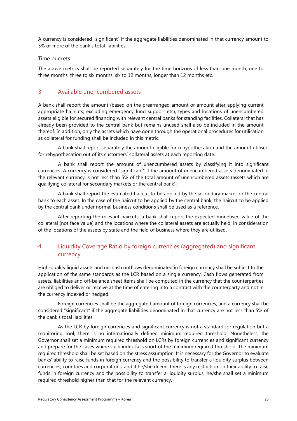A currency is considered "significant" if the aggregate liabilities denominated in that currency amount to 5% or more of the bank's total liabilities.

#### Time buckets

The above metrics shall be reported separately for the time horizons of less than one month, one to three months, three to six months, six to 12 months, longer than 12 months etc.

#### 3. Available unencumbered assets

A bank shall report the amount (based on the prearranged amount or amount after applying current appropriate haircuts; excluding emergency fund support etc), types and locations of unencumbered assets eligible for secured financing with relevant central banks for standing facilities. Collateral that has already been provided to the central bank but remains unused shall also be included in the amount thereof. In addition, only the assets which have gone through the operational procedures for utilisation as collateral for funding shall be included in this metric.

A bank shall report separately the amount eligible for rehypothecation and the amount utilised for rehypothecation out of its customers' collateral assets at each reporting date.

A bank shall report the amount of unencumbered assets by classifying it into significant currencies. A currency is considered "significant" if the amount of unencumbered assets denominated in the relevant currency is not less than 5% of the total amount of unencumbered assets (assets which are qualifying collateral for secondary markets or the central bank).

A bank shall report the estimated haircut to be applied by the secondary market or the central bank to each asset. In the case of the haircut to be applied by the central bank, the haircut to be applied by the central bank under normal business conditions shall be used as a reference.

After reporting the relevant haircuts, a bank shall report the expected monetised value of the collateral (not face value) and the locations where the collateral assets are actually held, in consideration of the locations of the assets by state and the field of business where they are utilised.

#### 4. Liquidity Coverage Ratio by foreign currencies (aggregated) and significant currency

High-quality liquid assets and net cash outflows denominated in foreign currency shall be subject to the application of the same standards as the LCR based on a single currency. Cash flows generated from assets, liabilities and off-balance sheet items shall be computed in the currency that the counterparties are obliged to deliver or receive at the time of entering into a contract with the counterparty and not in the currency indexed or hedged.

Foreign currencies shall be the aggregated amount of foreign currencies, and a currency shall be considered "significant" if the aggregate liabilities denominated in that currency are not less than 5% of the bank's total liabilities.

As the LCR by foreign currencies and significant currency is not a standard for regulation but a monitoring tool, there is no internationally defined minimum required threshold. Nonetheless, the Governor shall set a minimum required threshold on LCRs by foreign currencies and significant currency and prepare for the cases where such index falls short of the minimum required threshold. The minimum required threshold shall be set based on the stress assumption. It is necessary for the Governor to evaluate banks' ability to raise funds in foreign currency and the possibility to transfer a liquidity surplus between currencies, countries and corporations; and if he/she deems there is any restriction on their ability to raise funds in foreign currency and the possibility to transfer a liquidity surplus, he/she shall set a minimum required threshold higher than that for the relevant currency.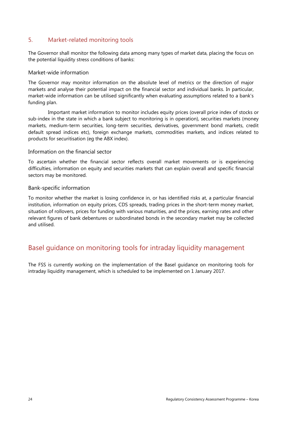#### 5. Market-related monitoring tools

The Governor shall monitor the following data among many types of market data, placing the focus on the potential liquidity stress conditions of banks:

#### Market-wide information

The Governor may monitor information on the absolute level of metrics or the direction of major markets and analyse their potential impact on the financial sector and individual banks. In particular, market-wide information can be utilised significantly when evaluating assumptions related to a bank's funding plan.

Important market information to monitor includes equity prices (overall price index of stocks or sub-index in the state in which a bank subject to monitoring is in operation), securities markets (money markets, medium-term securities, long-term securities, derivatives, government bond markets, credit default spread indices etc), foreign exchange markets, commodities markets, and indices related to products for securitisation (eg the ABX index).

#### Information on the financial sector

To ascertain whether the financial sector reflects overall market movements or is experiencing difficulties, information on equity and securities markets that can explain overall and specific financial sectors may be monitored.

#### Bank-specific information

To monitor whether the market is losing confidence in, or has identified risks at, a particular financial institution, information on equity prices, CDS spreads, trading prices in the short-term money market, situation of rollovers, prices for funding with various maturities, and the prices, earning rates and other relevant figures of bank debentures or subordinated bonds in the secondary market may be collected and utilised.

### Basel guidance on monitoring tools for intraday liquidity management

The FSS is currently working on the implementation of the Basel guidance on monitoring tools for intraday liquidity management, which is scheduled to be implemented on 1 January 2017.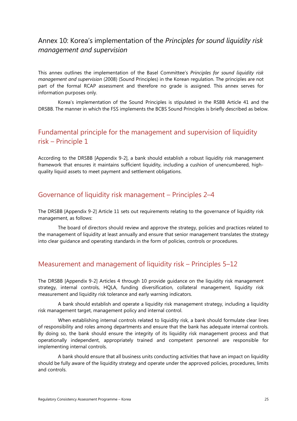### <span id="page-28-0"></span>Annex 10: Korea's implementation of the *Principles for sound liquidity risk management and supervision*

This annex outlines the implementation of the Basel Committee's *Principles for sound liquidity risk management and supervision* (2008) (Sound Principles) in the Korean regulation. The principles are not part of the formal RCAP assessment and therefore no grade is assigned. This annex serves for information purposes only.

Korea's implementation of the Sound Principles is stipulated in the RSBB Article 41 and the DRSBB. The manner in which the FSS implements the BCBS Sound Principles is briefly described as below.

### Fundamental principle for the management and supervision of liquidity risk – Principle 1

According to the DRSBB [Appendix 9-2], a bank should establish a robust liquidity risk management framework that ensures it maintains sufficient liquidity, including a cushion of unencumbered, highquality liquid assets to meet payment and settlement obligations.

### Governance of liquidity risk management – Principles 2–4

The DRSBB [Appendix 9-2] Article 11 sets out requirements relating to the governance of liquidity risk management, as follows:

The board of directors should review and approve the strategy, policies and practices related to the management of liquidity at least annually and ensure that senior management translates the strategy into clear guidance and operating standards in the form of policies, controls or procedures.

### Measurement and management of liquidity risk – Principles 5–12

The DRSBB [Appendix 9-2] Articles 4 through 10 provide guidance on the liquidity risk management strategy, internal controls, HQLA, funding diversification, collateral management, liquidity risk measurement and liquidity risk tolerance and early warning indicators.

A bank should establish and operate a liquidity risk management strategy, including a liquidity risk management target, management policy and internal control.

When establishing internal controls related to liquidity risk, a bank should formulate clear lines of responsibility and roles among departments and ensure that the bank has adequate internal controls. By doing so, the bank should ensure the integrity of its liquidity risk management process and that operationally independent, appropriately trained and competent personnel are responsible for implementing internal controls.

A bank should ensure that all business units conducting activities that have an impact on liquidity should be fully aware of the liquidity strategy and operate under the approved policies, procedures, limits and controls.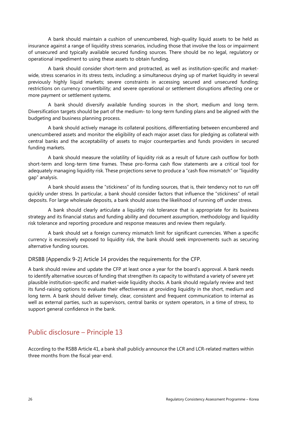A bank should maintain a cushion of unencumbered, high-quality liquid assets to be held as insurance against a range of liquidity stress scenarios, including those that involve the loss or impairment of unsecured and typically available secured funding sources. There should be no legal, regulatory or operational impediment to using these assets to obtain funding.

A bank should consider short-term and protracted, as well as institution-specific and marketwide, stress scenarios in its stress tests, including: a simultaneous drying up of market liquidity in several previously highly liquid markets; severe constraints in accessing secured and unsecured funding; restrictions on currency convertibility; and severe operational or settlement disruptions affecting one or more payment or settlement systems.

A bank should diversify available funding sources in the short, medium and long term. Diversification targets should be part of the medium- to long-term funding plans and be aligned with the budgeting and business planning process.

A bank should actively manage its collateral positions, differentiating between encumbered and unencumbered assets and monitor the eligibility of each major asset class for pledging as collateral with central banks and the acceptability of assets to major counterparties and funds providers in secured funding markets.

A bank should measure the volatility of liquidity risk as a result of future cash outflow for both short-term and long-term time frames. These pro-forma cash flow statements are a critical tool for adequately managing liquidity risk. These projections serve to produce a "cash flow mismatch" or "liquidity gap" analysis.

A bank should assess the "stickiness" of its funding sources, that is, their tendency not to run off quickly under stress. In particular, a bank should consider factors that influence the "stickiness" of retail deposits. For large wholesale deposits, a bank should assess the likelihood of running off under stress.

A bank should clearly articulate a liquidity risk tolerance that is appropriate for its business strategy and its financial status and funding ability and document assumption, methodology and liquidity risk tolerance and reporting procedure and response measures and review them regularly.

A bank should set a foreign currency mismatch limit for significant currencies. When a specific currency is excessively exposed to liquidity risk, the bank should seek improvements such as securing alternative funding sources.

#### DRSBB [Appendix 9-2] Article 14 provides the requirements for the CFP.

A bank should review and update the CFP at least once a year for the board's approval. A bank needs to identify alternative sources of funding that strengthen its capacity to withstand a variety of severe yet plausible institution-specific and market-wide liquidity shocks. A bank should regularly review and test its fund-raising options to evaluate their effectiveness at providing liquidity in the short, medium and long term. A bank should deliver timely, clear, consistent and frequent communication to internal as well as external parties, such as supervisors, central banks or system operators, in a time of stress, to support general confidence in the bank.

### Public disclosure – Principle 13

According to the RSBB Article 41, a bank shall publicly announce the LCR and LCR-related matters within three months from the fiscal year-end.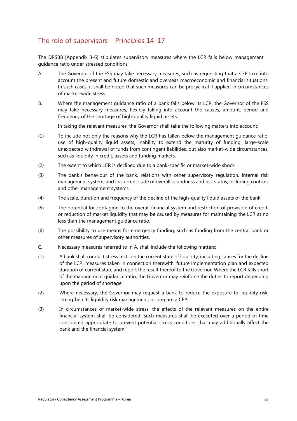### The role of supervisors – Principles 14–17

The DRSBB [Appendix 3-6] stipulates supervisory measures where the LCR falls below management guidance ratio under stressed conditions

- A. The Governor of the FSS may take necessary measures, such as requesting that a CFP take into account the present and future domestic and overseas macroeconomic and financial situations. In such cases, it shall be noted that such measures can be procyclical if applied in circumstances of market-wide stress.
- B. Where the management guidance ratio of a bank falls below its LCR, the Governor of the FSS may take necessary measures, flexibly taking into account the causes, amount, period and frequency of the shortage of high-quality liquid assets.

In taking the relevant measures, the Governor shall take the following matters into account:

- (1) To include not only the reasons why the LCR has fallen below the management guidance ratio, use of high-quality liquid assets, inability to extend the maturity of funding, large-scale unexpected withdrawal of funds from contingent liabilities, but also market-wide circumstances, such as liquidity in credit, assets and funding markets.
- (2) The extent to which LCR is declined due to a bank-specific or market-wide shock.
- (3) The bank's behaviour of the bank, relations with other supervisory regulation, internal risk management system, and its current state of overall soundness and risk status, including controls and other management systems.
- (4) The scale, duration and frequency of the decline of the high-quality liquid assets of the bank.
- (5) The potential for contagion to the overall financial system and restriction of provision of credit, or reduction of market liquidity that may be caused by measures for maintaining the LCR at no less than the management guidance ratio.
- (6) The possibility to use means for emergency funding, such as funding from the central bank or other measures of supervisory authorities.
- C. Necessary measures referred to in A. shall include the following matters:
- (1) A bank shall conduct stress tests on the current state of liquidity, including causes for the decline of the LCR, measures taken in connection therewith, future implementation plan and expected duration of current state and report the result thereof to the Governor. Where the LCR falls short of the management guidance ratio, the Governor may reinforce the duties to report depending upon the period of shortage.
- (2) Where necessary, the Governor may request a bank to reduce the exposure to liquidity risk, strengthen its liquidity risk management, or prepare a CFP.
- (3) In circumstances of market-wide stress, the effects of the relevant measures on the entire financial system shall be considered. Such measures shall be executed over a period of time considered appropriate to prevent potential stress conditions that may additionally affect the bank and the financial system.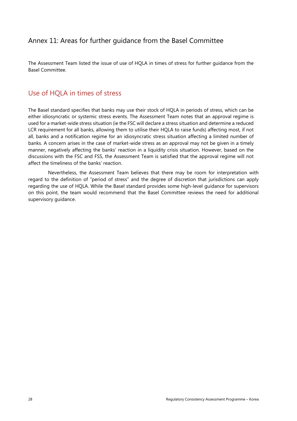### <span id="page-31-0"></span>Annex 11: Areas for further guidance from the Basel Committee

The Assessment Team listed the issue of use of HQLA in times of stress for further guidance from the Basel Committee.

### Use of HQLA in times of stress

The Basel standard specifies that banks may use their stock of HQLA in periods of stress, which can be either idiosyncratic or systemic stress events. The Assessment Team notes that an approval regime is used for a market-wide stress situation (ie the FSC will declare a stress situation and determine a reduced LCR requirement for all banks, allowing them to utilise their HQLA to raise funds) affecting most, if not all, banks and a notification regime for an idiosyncratic stress situation affecting a limited number of banks. A concern arises in the case of market-wide stress as an approval may not be given in a timely manner, negatively affecting the banks' reaction in a liquidity crisis situation. However, based on the discussions with the FSC and FSS, the Assessment Team is satisfied that the approval regime will not affect the timeliness of the banks' reaction.

Nevertheless, the Assessment Team believes that there may be room for interpretation with regard to the definition of "period of stress" and the degree of discretion that jurisdictions can apply regarding the use of HQLA. While the Basel standard provides some high-level guidance for supervisors on this point, the team would recommend that the Basel Committee reviews the need for additional supervisory guidance.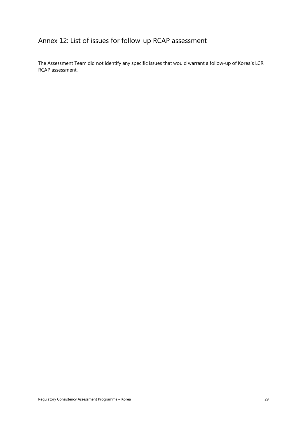# <span id="page-32-0"></span>Annex 12: List of issues for follow-up RCAP assessment

The Assessment Team did not identify any specific issues that would warrant a follow-up of Korea's LCR RCAP assessment.

Regulatory Consistency Assessment Programme – Korea 2008 and 2008 and 2008 and 2008 and 2011 and 201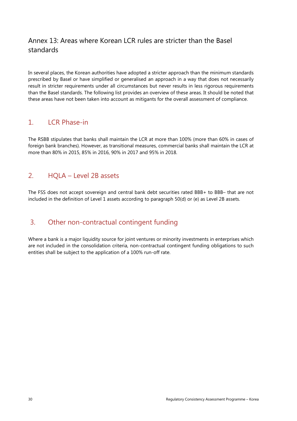### <span id="page-33-0"></span>Annex 13: Areas where Korean LCR rules are stricter than the Basel standards

In several places, the Korean authorities have adopted a stricter approach than the minimum standards prescribed by Basel or have simplified or generalised an approach in a way that does not necessarily result in stricter requirements under all circumstances but never results in less rigorous requirements than the Basel standards. The following list provides an overview of these areas. It should be noted that these areas have not been taken into account as mitigants for the overall assessment of compliance.

### 1 **ICR Phase-in**

The RSBB stipulates that banks shall maintain the LCR at more than 100% (more than 60% in cases of foreign bank branches). However, as transitional measures, commercial banks shall maintain the LCR at more than 80% in 2015, 85% in 2016, 90% in 2017 and 95% in 2018.

### 2. HQLA – Level 2B assets

The FSS does not accept sovereign and central bank debt securities rated BBB+ to BBB– that are not included in the definition of Level 1 assets according to paragraph 50(d) or (e) as Level 2B assets.

### 3. Other non-contractual contingent funding

Where a bank is a major liquidity source for joint ventures or minority investments in enterprises which are not included in the consolidation criteria, non-contractual contingent funding obligations to such entities shall be subject to the application of a 100% run-off rate.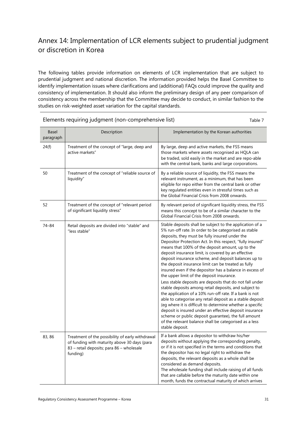### <span id="page-34-0"></span>Annex 14: Implementation of LCR elements subject to prudential judgment or discretion in Korea

The following tables provide information on elements of LCR implementation that are subject to prudential judgment and national discretion. The information provided helps the Basel Committee to identify implementation issues where clarifications and (additional) FAQs could improve the quality and consistency of implementation. It should also inform the preliminary design of any peer comparison of consistency across the membership that the Committee may decide to conduct, in similar fashion to the studies on risk-weighted asset variation for the capital standards.

| <b>Basel</b><br>paragraph | Description                                                                                                                                               | Implementation by the Korean authorities                                                                                                                                                                                                                                                                                                                                                                                                                                                                                                                                                                                                                                                                                                                                                                                                                                                                                                                                                                                                                                       |
|---------------------------|-----------------------------------------------------------------------------------------------------------------------------------------------------------|--------------------------------------------------------------------------------------------------------------------------------------------------------------------------------------------------------------------------------------------------------------------------------------------------------------------------------------------------------------------------------------------------------------------------------------------------------------------------------------------------------------------------------------------------------------------------------------------------------------------------------------------------------------------------------------------------------------------------------------------------------------------------------------------------------------------------------------------------------------------------------------------------------------------------------------------------------------------------------------------------------------------------------------------------------------------------------|
| 24(f)                     | Treatment of the concept of "large, deep and<br>active markets"                                                                                           | By large, deep and active markets, the FSS means<br>those markets where assets recognised as HQLA can<br>be traded, sold easily in the market and are repo-able<br>with the central bank, banks and large corporations.                                                                                                                                                                                                                                                                                                                                                                                                                                                                                                                                                                                                                                                                                                                                                                                                                                                        |
| 50                        | Treatment of the concept of "reliable source of<br>liquidity"                                                                                             | By a reliable source of liquidity, the FSS means the<br>relevant instrument, as a minimum, that has been<br>eligible for repo either from the central bank or other<br>key regulated entities even in stressful times such as<br>the Global Financial Crisis from 2008 onwards.                                                                                                                                                                                                                                                                                                                                                                                                                                                                                                                                                                                                                                                                                                                                                                                                |
| 52                        | Treatment of the concept of "relevant period<br>of significant liquidity stress"                                                                          | By relevant period of significant liquidity stress, the FSS<br>means this concept to be of a similar character to the<br>Global Financial Crisis from 2008 onwards.                                                                                                                                                                                                                                                                                                                                                                                                                                                                                                                                                                                                                                                                                                                                                                                                                                                                                                            |
| 74-84                     | Retail deposits are divided into "stable" and<br>"less stable"                                                                                            | Stable deposits shall be subject to the application of a<br>5% run-off rate. In order to be categorised as stable<br>deposits, they must be fully insured under the<br>Depositor Protection Act. In this respect, "fully insured"<br>means that 100% of the deposit amount, up to the<br>deposit insurance limit, is covered by an effective<br>deposit insurance scheme, and deposit balances up to<br>the deposit insurance limit can be treated as fully<br>insured even if the depositor has a balance in excess of<br>the upper limit of the deposit insurance.<br>Less stable deposits are deposits that do not fall under<br>stable deposits among retail deposits, and subject to<br>the application of a 10% run-off rate. If a bank is not<br>able to categorise any retail deposit as a stable deposit<br>(eg where it is difficult to determine whether a specific<br>deposit is insured under an effective deposit insurance<br>scheme or public deposit guarantee), the full amount<br>of the relevant balance shall be categorised as a less<br>stable deposit. |
| 83, 86                    | Treatment of the possibility of early withdrawal<br>of funding with maturity above 30 days (para<br>83 - retail deposits; para 86 - wholesale<br>funding) | If a bank allows a depositor to withdraw his/her<br>deposits without applying the corresponding penalty,<br>or if it is not specified in the terms and conditions that<br>the depositor has no legal right to withdraw the<br>deposits, the relevant deposits as a whole shall be<br>considered as demand deposits.<br>The wholesale funding shall include raising of all funds<br>that are callable before the maturity date within one<br>month, funds the contractual maturity of which arrives                                                                                                                                                                                                                                                                                                                                                                                                                                                                                                                                                                             |

Elements requiring judgment (non-comprehensive list) Table 7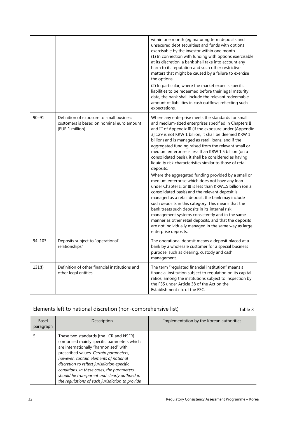|            |                                                                                                          | within one month (eg maturing term deposits and<br>unsecured debt securities) and funds with options<br>exercisable by the investor within one month.<br>(1) In connection with funding with options exercisable<br>at its discretion, a bank shall take into account any<br>harm to its reputation and such other restrictive<br>matters that might be caused by a failure to exercise<br>the options.<br>(2) In particular, where the market expects specific<br>liabilities to be redeemed before their legal maturity<br>date, the bank shall include the relevant redeemable<br>amount of liabilities in cash outflows reflecting such<br>expectations.                                                                                                                                                                                                                                                                                                                                                                                                                                                                    |
|------------|----------------------------------------------------------------------------------------------------------|---------------------------------------------------------------------------------------------------------------------------------------------------------------------------------------------------------------------------------------------------------------------------------------------------------------------------------------------------------------------------------------------------------------------------------------------------------------------------------------------------------------------------------------------------------------------------------------------------------------------------------------------------------------------------------------------------------------------------------------------------------------------------------------------------------------------------------------------------------------------------------------------------------------------------------------------------------------------------------------------------------------------------------------------------------------------------------------------------------------------------------|
| $90 - 91$  | Definition of exposure to small business<br>customers is based on nominal euro amount<br>(EUR 1 million) | Where any enterprise meets the standards for small<br>and medium-sized enterprises specified in Chapters II<br>and III of Appendix III (if the exposure under [Appendix<br>3] 129 is not KRW 1 billion, it shall be deemed KRW 1<br>billion) and is managed as retail loans, and if the<br>aggregated funding raised from the relevant small or<br>medium enterprise is less than KRW 1.5 billion (on a<br>consolidated basis), it shall be considered as having<br>liquidity risk characteristics similar to those of retail<br>deposits.<br>Where the aggregated funding provided by a small or<br>medium enterprise which does not have any loan<br>under Chapter II or III is less than KRW1.5 billion (on a<br>consolidated basis) and the relevant deposit is<br>managed as a retail deposit, the bank may include<br>such deposits in this category. This means that the<br>bank treats such deposits in its internal risk<br>management systems consistently and in the same<br>manner as other retail deposits, and that the deposits<br>are not individually managed in the same way as large<br>enterprise deposits. |
| $94 - 103$ | Deposits subject to "operational"<br>relationships"                                                      | The operational deposit means a deposit placed at a<br>bank by a wholesale customer for a special business<br>purpose, such as clearing, custody and cash<br>management.                                                                                                                                                                                                                                                                                                                                                                                                                                                                                                                                                                                                                                                                                                                                                                                                                                                                                                                                                        |
| 131(f)     | Definition of other financial institutions and<br>other legal entities                                   | The term "regulated financial institution" means a<br>financial institution subject to regulation on its capital<br>ratios, among the institutions subject to inspection by<br>the FSS under Article 38 of the Act on the<br>Establishment etc of the FSC.                                                                                                                                                                                                                                                                                                                                                                                                                                                                                                                                                                                                                                                                                                                                                                                                                                                                      |

### Elements left to national discretion (non-comprehensive list) Table 8

| <b>Basel</b><br>paragraph | Description                                                                                                                                                                                                                                                                                                                                                                                                       | Implementation by the Korean authorities |
|---------------------------|-------------------------------------------------------------------------------------------------------------------------------------------------------------------------------------------------------------------------------------------------------------------------------------------------------------------------------------------------------------------------------------------------------------------|------------------------------------------|
|                           | These two standards [the LCR and NSFR]<br>comprised mainly specific parameters which<br>are internationally "harmonised" with<br>prescribed values. Certain parameters,<br>however, contain elements of national<br>discretion to reflect jurisdiction-specific<br>conditions. In these cases, the parameters<br>should be transparent and clearly outlined in<br>the regulations of each jurisdiction to provide |                                          |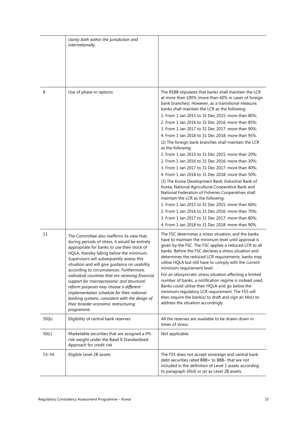|           | clarity both within the jurisdiction and<br>internationally.                                                                                                                                                                                                                                                                                                                                                                                                                                                                                                                                                                        |                                                                                                                                                                                                                                                                                                                                                                                                                                                                                                                                                                                                                                                                                                                                                                                                                                                                                                                                                                                                                                                                                                                                                                         |
|-----------|-------------------------------------------------------------------------------------------------------------------------------------------------------------------------------------------------------------------------------------------------------------------------------------------------------------------------------------------------------------------------------------------------------------------------------------------------------------------------------------------------------------------------------------------------------------------------------------------------------------------------------------|-------------------------------------------------------------------------------------------------------------------------------------------------------------------------------------------------------------------------------------------------------------------------------------------------------------------------------------------------------------------------------------------------------------------------------------------------------------------------------------------------------------------------------------------------------------------------------------------------------------------------------------------------------------------------------------------------------------------------------------------------------------------------------------------------------------------------------------------------------------------------------------------------------------------------------------------------------------------------------------------------------------------------------------------------------------------------------------------------------------------------------------------------------------------------|
| 8         | Use of phase-in options                                                                                                                                                                                                                                                                                                                                                                                                                                                                                                                                                                                                             | The RSBB stipulates that banks shall maintain the LCR<br>at more than 100% (more than 60% in cases of foreign<br>bank branches). However, as a transitional measure,<br>banks shall maintain the LCR as the following:<br>1. From 1 Jan 2015 to 31 Dec 2015: more than 80%;<br>2. From 1 Jan 2016 to 31 Dec 2016: more than 85%;<br>3. From 1 Jan 2017 to 31 Dec 2017: more than 90%;<br>4. From 1 Jan 2018 to 31 Dec 2018: more than 95%.<br>(2) The foreign bank branches shall maintain the LCR<br>as the following:<br>1. From 1 Jan 2015 to 31 Dec 2015: more than 20%;<br>2. From 1 Jan 2016 to 31 Dec 2016: more than 30%;<br>3. From 1 Jan 2017 to 31 Dec 2017: more than 40%;<br>4. From 1 Jan 2018 to 31 Dec 2018: more than 50%.<br>(3) The Korea Development Bank, Industrial Bank of<br>Korea, National Agricultural Cooperative Bank and<br>National Federation of Fisheries Cooperatives shall<br>maintain the LCR as the following:<br>1. From 1 Jan 2015 to 31 Dec 2015: more than 60%;<br>2. From 1 Jan 2016 to 31 Dec 2016: more than 70%;<br>3. From 1 Jan 2017 to 31 Dec 2017: more than 80%;<br>4. From 1 Jan 2018 to 31 Dec 2018: more than 90%. |
| 11        | The Committee also reaffirms its view that,<br>during periods of stress, it would be entirely<br>appropriate for banks to use their stock of<br>HQLA, thereby falling below the minimum.<br>Supervisors will subsequently assess this<br>situation and will give guidance on usability<br>according to circumstances. Furthermore,<br>individual countries that are receiving financial<br>support for macroeconomic and structural<br>reform purposes may choose a different<br>implementation schedule for their national<br>banking systems, consistent with the design of<br>their broader economic restructuring<br>programme. | The FSC determines a stress situation, and the banks<br>have to maintain the minimum level until approval is<br>given by the FSC. The FSC applies a reduced LCR to all<br>banks. Before the FSC declares a stress situation and<br>determines the reduced LCR requirements, banks may<br>utilise HQLA but still have to comply with the current<br>minimum requirement level.<br>For an idiosyncratic stress situation affecting a limited<br>number of banks, a notification regime is instead used.<br>Banks could utilise their HQLA and go below the<br>minimum regulatory LCR requirement. The FSS will<br>then require the bank(s) to draft and sign an MoU to<br>address the situation accordingly.                                                                                                                                                                                                                                                                                                                                                                                                                                                              |
| 50(b)     | Eligibility of central bank reserves                                                                                                                                                                                                                                                                                                                                                                                                                                                                                                                                                                                                | All the reserves are available to be drawn down in<br>times of stress.                                                                                                                                                                                                                                                                                                                                                                                                                                                                                                                                                                                                                                                                                                                                                                                                                                                                                                                                                                                                                                                                                                  |
| 50(c)     | Marketable securities that are assigned a 0%<br>risk-weight under the Basel II Standardised<br>Approach for credit risk                                                                                                                                                                                                                                                                                                                                                                                                                                                                                                             | Not applicable.                                                                                                                                                                                                                                                                                                                                                                                                                                                                                                                                                                                                                                                                                                                                                                                                                                                                                                                                                                                                                                                                                                                                                         |
| $53 - 54$ | Eligible Level 2B assets                                                                                                                                                                                                                                                                                                                                                                                                                                                                                                                                                                                                            | The FSS does not accept sovereign and central bank<br>debt securities rated BBB+ to BBB- that are not<br>included in the definition of Level 1 assets according<br>to paragraph 50(d) or (e) as Level 2B assets.                                                                                                                                                                                                                                                                                                                                                                                                                                                                                                                                                                                                                                                                                                                                                                                                                                                                                                                                                        |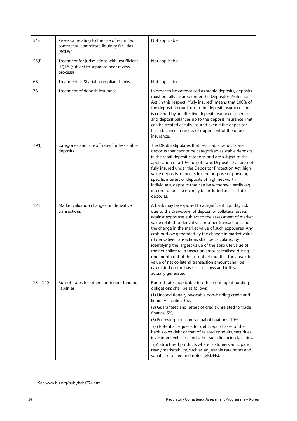| 54a     | Provision relating to the use of restricted<br>contractual committed liquidity facilities<br>(RCLF) <sup>7</sup> | Not applicable.                                                                                                                                                                                                                                                                                                                                                                                                                                                                                                                                                                                                                                                                                                  |
|---------|------------------------------------------------------------------------------------------------------------------|------------------------------------------------------------------------------------------------------------------------------------------------------------------------------------------------------------------------------------------------------------------------------------------------------------------------------------------------------------------------------------------------------------------------------------------------------------------------------------------------------------------------------------------------------------------------------------------------------------------------------------------------------------------------------------------------------------------|
| 55(f)   | Treatment for jurisdictions with insufficient<br>HQLA (subject to separate peer review<br>process)               | Not applicable.                                                                                                                                                                                                                                                                                                                                                                                                                                                                                                                                                                                                                                                                                                  |
| 68      | Treatment of Shariah-compliant banks                                                                             | Not applicable.                                                                                                                                                                                                                                                                                                                                                                                                                                                                                                                                                                                                                                                                                                  |
| 78      | Treatment of deposit insurance                                                                                   | In order to be categorised as stable deposits, deposits<br>must be fully insured under the Depositor Protection<br>Act. In this respect, "fully insured" means that 100% of<br>the deposit amount, up to the deposit insurance limit,<br>is covered by an effective deposit insurance scheme,<br>and deposit balances up to the deposit insurance limit<br>can be treated as fully insured even if the depositor<br>has a balance in excess of upper limit of the deposit<br>insurance.                                                                                                                                                                                                                          |
| 79(f)   | Categories and run-off rates for less stable<br>deposits                                                         | The DRSBB stipulates that less stable deposits are<br>deposits that cannot be categorised as stable deposits<br>in the retail deposit category, and are subject to the<br>application of a 10% run-off rate. Deposits that are not<br>fully insured under the Depositor Protection Act, high-<br>value deposits, deposits for the purpose of pursuing<br>specific interest or deposits of high net worth<br>individuals, deposits that can be withdrawn easily (eg<br>internet deposits) etc may be included in less stable<br>deposits.                                                                                                                                                                         |
| 123     | Market valuation changes on derivative<br>transactions                                                           | A bank may be exposed to a significant liquidity risk<br>due to the drawdown of deposit of collateral assets<br>against exposures subject to the assessment of market<br>value related to derivatives or other transactions and<br>the change in the market value of such exposures. Any<br>cash outflow generated by the change in market value<br>of derivative transactions shall be calculated by<br>identifying the largest value of the absolute value of<br>the net collateral transaction amount realised during<br>one month out of the recent 24 months. The absolute<br>value of net collateral transaction amount shall be<br>calculated on the basis of outflows and inflows<br>actually generated. |
| 134-140 | Run-off rates for other contingent funding<br>liabilities                                                        | Run-off rates applicable to other contingent funding<br>obligations shall be as follows:<br>(1) Unconditionally revocable non-binding credit and<br>liquidity facilities: 0%;<br>(2) Guarantees and letters of credit unrelated to trade<br>finance: 5%;<br>(3) Following non-contractual obligations: 10%:<br>(a) Potential requests for debt repurchases of the<br>bank's own debt or that of related conduits, securities<br>investment vehicles, and other such financing facilities;<br>(b) Structured products where customers anticipate<br>ready marketability, such as adjustable rate notes and<br>variable rate demand notes (VRDNs);                                                                 |

<span id="page-37-0"></span><sup>7</sup> See www.bis.org/publ/bcbs274.htm.